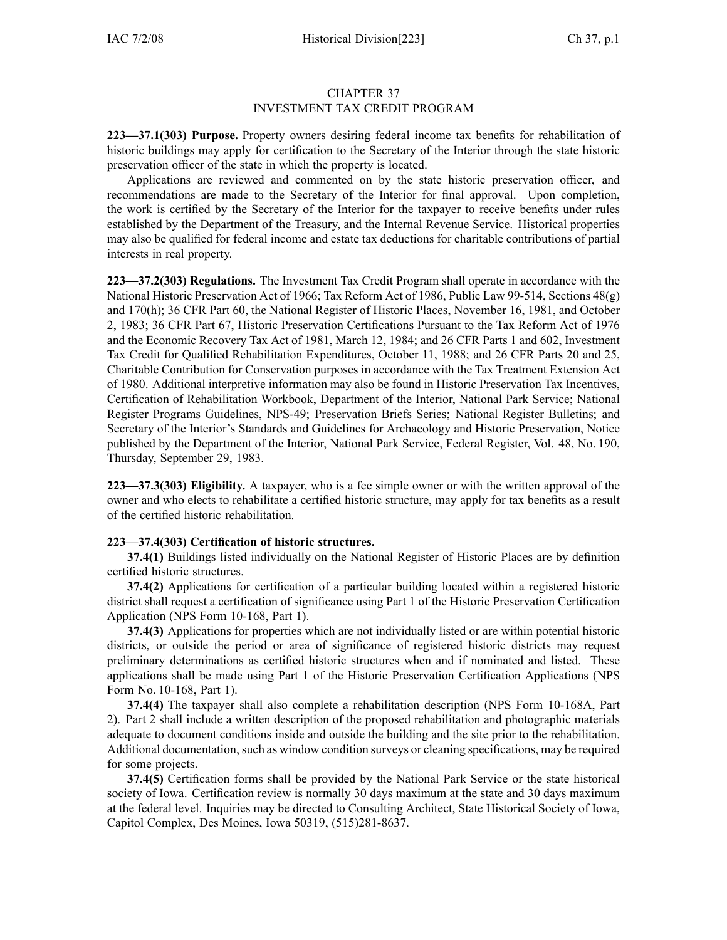## CHAPTER 37 INVESTMENT TAX CREDIT PROGRAM

**223—37.1(303) Purpose.** Property owners desiring federal income tax benefits for rehabilitation of historic buildings may apply for certification to the Secretary of the Interior through the state historic preservation officer of the state in which the property is located.

Applications are reviewed and commented on by the state historic preservation officer, and recommendations are made to the Secretary of the Interior for final approval. Upon completion, the work is certified by the Secretary of the Interior for the taxpayer to receive benefits under rules established by the Department of the Treasury, and the Internal Revenue Service. Historical properties may also be qualified for federal income and estate tax deductions for charitable contributions of partial interests in real property.

**223—37.2(303) Regulations.** The Investment Tax Credit Program shall operate in accordance with the National Historic Preservation Act of 1966; Tax Reform Act of 1986, Public Law 99-514, Sections 48(g) and 170(h); 36 CFR Part 60, the National Register of Historic Places, November 16, 1981, and October 2, 1983; 36 CFR Part 67, Historic Preservation Certifications Pursuant to the Tax Reform Act of 1976 and the Economic Recovery Tax Act of 1981, March 12, 1984; and 26 CFR Parts 1 and 602, Investment Tax Credit for Qualified Rehabilitation Expenditures, October 11, 1988; and 26 CFR Parts 20 and 25, Charitable Contribution for Conservation purposes in accordance with the Tax Treatment Extension Act of 1980. Additional interpretive information may also be found in Historic Preservation Tax Incentives, Certification of Rehabilitation Workbook, Department of the Interior, National Park Service; National Register Programs Guidelines, NPS-49; Preservation Briefs Series; National Register Bulletins; and Secretary of the Interior's Standards and Guidelines for Archaeology and Historic Preservation, Notice published by the Department of the Interior, National Park Service, Federal Register, Vol. 48, No. 190, Thursday, September 29, 1983.

**223—37.3(303) Eligibility.** A taxpayer, who is <sup>a</sup> fee simple owner or with the written approval of the owner and who elects to rehabilitate <sup>a</sup> certified historic structure, may apply for tax benefits as <sup>a</sup> result of the certified historic rehabilitation.

## **223—37.4(303) Certification of historic structures.**

**37.4(1)** Buildings listed individually on the National Register of Historic Places are by definition certified historic structures.

**37.4(2)** Applications for certification of <sup>a</sup> particular building located within <sup>a</sup> registered historic district shall reques<sup>t</sup> <sup>a</sup> certification of significance using Part 1 of the Historic Preservation Certification Application (NPS Form 10-168, Part 1).

**37.4(3)** Applications for properties which are not individually listed or are within potential historic districts, or outside the period or area of significance of registered historic districts may reques<sup>t</sup> preliminary determinations as certified historic structures when and if nominated and listed. These applications shall be made using Part 1 of the Historic Preservation Certification Applications (NPS Form No. 10-168, Part 1).

**37.4(4)** The taxpayer shall also complete <sup>a</sup> rehabilitation description (NPS Form 10-168A, Part 2). Part 2 shall include <sup>a</sup> written description of the proposed rehabilitation and photographic materials adequate to document conditions inside and outside the building and the site prior to the rehabilitation. Additional documentation, such as window condition surveys or cleaning specifications, may be required for some projects.

**37.4(5)** Certification forms shall be provided by the National Park Service or the state historical society of Iowa. Certification review is normally 30 days maximum at the state and 30 days maximum at the federal level. Inquiries may be directed to Consulting Architect, State Historical Society of Iowa, Capitol Complex, Des Moines, Iowa 50319, (515)281-8637.